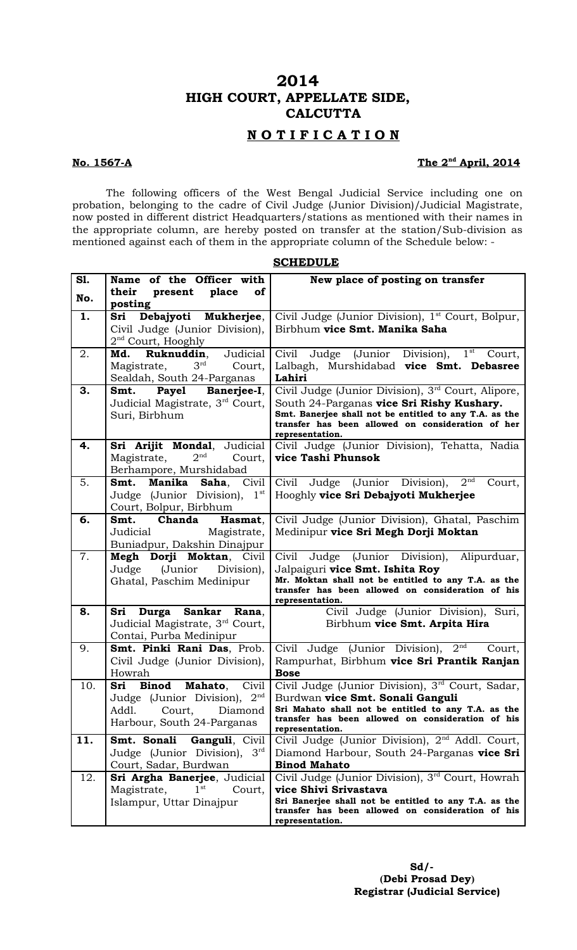# **2014 HIGH COURT, APPELLATE SIDE, CALCUTTA**

## **N O T I F I C A T I O N**

### **No. 1567-A**

## The 2<sup>nd</sup> April, 2014

The following officers of the West Bengal Judicial Service including one on probation, belonging to the cadre of Civil Judge (Junior Division)/Judicial Magistrate, now posted in different district Headquarters/stations as mentioned with their names in the appropriate column, are hereby posted on transfer at the station/Sub-division as mentioned against each of them in the appropriate column of the Schedule below: -

| S1. |                                                                       |                                                                                                             |
|-----|-----------------------------------------------------------------------|-------------------------------------------------------------------------------------------------------------|
|     | Name of the Officer with<br>their<br>place<br>of<br>present           | New place of posting on transfer                                                                            |
| No. | posting                                                               |                                                                                                             |
| 1.  | Debajyoti Mukherjee,<br>Sri                                           | Civil Judge (Junior Division), 1 <sup>st</sup> Court, Bolpur,                                               |
|     | Civil Judge (Junior Division),                                        | Birbhum vice Smt. Manika Saha                                                                               |
|     | 2 <sup>nd</sup> Court, Hooghly                                        |                                                                                                             |
| 2.  | <b>Ruknuddin,</b> Judicial<br>Md.                                     | Judge (Junior Division), 1 <sup>st</sup><br>Civil<br>Court,                                                 |
|     | $3rd$ Court,<br>Magistrate,                                           | Lalbagh, Murshidabad vice Smt. Debasree                                                                     |
|     | Sealdah, South 24-Parganas                                            | Lahiri                                                                                                      |
| 3.  | Smt. Payel Banerjee-I,                                                | Civil Judge (Junior Division), 3 <sup>rd</sup> Court, Alipore,                                              |
|     | Judicial Magistrate, 3rd Court,                                       | South 24-Parganas vice Sri Rishy Kushary.                                                                   |
|     | Suri, Birbhum                                                         | Smt. Banerjee shall not be entitled to any T.A. as the<br>transfer has been allowed on consideration of her |
|     |                                                                       | representation.                                                                                             |
| 4.  | Sri Arijit Mondal, Judicial                                           | Civil Judge (Junior Division), Tehatta, Nadia                                                               |
|     | $2^{\rm nd}$<br>Magistrate,<br>Court,                                 | vice Tashi Phunsok                                                                                          |
|     | Berhampore, Murshidabad                                               |                                                                                                             |
| 5.  | Manika Saha,<br>Smt.<br>Civil                                         | Judge (Junior Division),<br>2 <sup>nd</sup><br>Civil<br>Court,                                              |
|     | Judge (Junior Division),<br>$1^{\rm st}$                              | Hooghly vice Sri Debajyoti Mukherjee                                                                        |
|     | Court, Bolpur, Birbhum                                                |                                                                                                             |
| 6.  | Smt. Chanda<br>Hasmat,                                                | Civil Judge (Junior Division), Ghatal, Paschim                                                              |
|     | Judicial<br>Magistrate,                                               | Medinipur vice Sri Megh Dorji Moktan                                                                        |
|     | Buniadpur, Dakshin Dinajpur                                           |                                                                                                             |
| 7.  | Megh Dorji Moktan, Civil<br>Judge (Junior Division),                  | Judge (Junior Division), Alipurduar,<br>Civil                                                               |
|     | Ghatal, Paschim Medinipur                                             | Jalpaiguri vice Smt. Ishita Roy<br>Mr. Moktan shall not be entitled to any T.A. as the                      |
|     |                                                                       | transfer has been allowed on consideration of his                                                           |
|     |                                                                       | representation.                                                                                             |
| 8.  | Sri Durga Sankar Rana,<br>Judicial Magistrate, 3 <sup>rd</sup> Court, | Civil Judge (Junior Division), Suri,<br>Birbhum vice Smt. Arpita Hira                                       |
|     | Contai, Purba Medinipur                                               |                                                                                                             |
| 9.  | Smt. Pinki Rani Das, Prob.                                            | Civil Judge (Junior Division), 2 <sup>nd</sup><br>Court,                                                    |
|     | Civil Judge (Junior Division),                                        | Rampurhat, Birbhum vice Sri Prantik Ranjan                                                                  |
|     | Howrah                                                                | <b>Bose</b>                                                                                                 |
| 10. | Mahato,<br><b>Binod</b><br>Civil<br>Sri                               | Civil Judge (Junior Division), 3rd Court, Sadar,                                                            |
|     | Judge (Junior Division), 2nd                                          | Burdwan vice Smt. Sonali Ganguli                                                                            |
|     | Addl.<br>Court,<br>Diamond                                            | Sri Mahato shall not be entitled to any T.A. as the                                                         |
|     | Harbour, South 24-Parganas                                            | transfer has been allowed on consideration of his<br>representation.                                        |
| 11. | Smt. Sonali<br>Ganguli, Civil                                         | Civil Judge (Junior Division), 2 <sup>nd</sup> Addl. Court,                                                 |
|     | $3^{\text{rd}}$<br>Judge (Junior Division),                           | Diamond Harbour, South 24-Parganas vice Sri                                                                 |
|     | Court, Sadar, Burdwan                                                 | <b>Binod Mahato</b>                                                                                         |
| 12. | Sri Argha Banerjee, Judicial                                          | Civil Judge (Junior Division), 3rd Court, Howrah                                                            |
|     | 1 <sup>st</sup><br>Magistrate,<br>Court,                              | vice Shivi Srivastava                                                                                       |
|     | Islampur, Uttar Dinajpur                                              | Sri Banerjee shall not be entitled to any T.A. as the                                                       |
|     |                                                                       | transfer has been allowed on consideration of his<br>representation.                                        |
|     |                                                                       |                                                                                                             |

**SCHEDULE**